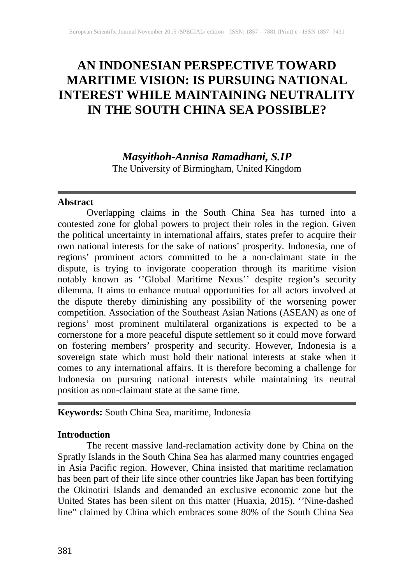# **AN INDONESIAN PERSPECTIVE TOWARD MARITIME VISION: IS PURSUING NATIONAL INTEREST WHILE MAINTAINING NEUTRALITY IN THE SOUTH CHINA SEA POSSIBLE?**

*Masyithoh-Annisa Ramadhani, S.IP* The University of Birmingham, United Kingdom

## **Abstract**

Overlapping claims in the South China Sea has turned into a contested zone for global powers to project their roles in the region. Given the political uncertainty in international affairs, states prefer to acquire their own national interests for the sake of nations' prosperity. Indonesia, one of regions' prominent actors committed to be a non-claimant state in the dispute, is trying to invigorate cooperation through its maritime vision notably known as ''Global Maritime Nexus'' despite region's security dilemma. It aims to enhance mutual opportunities for all actors involved at the dispute thereby diminishing any possibility of the worsening power competition. Association of the Southeast Asian Nations (ASEAN) as one of regions' most prominent multilateral organizations is expected to be a cornerstone for a more peaceful dispute settlement so it could move forward on fostering members' prosperity and security. However, Indonesia is a sovereign state which must hold their national interests at stake when it comes to any international affairs. It is therefore becoming a challenge for Indonesia on pursuing national interests while maintaining its neutral position as non-claimant state at the same time.

**Keywords:** South China Sea, maritime, Indonesia

## **Introduction**

The recent massive land-reclamation activity done by China on the Spratly Islands in the South China Sea has alarmed many countries engaged in Asia Pacific region. However, China insisted that maritime reclamation has been part of their life since other countries like Japan has been fortifying the Okinotiri Islands and demanded an exclusive economic zone but the United States has been silent on this matter (Huaxia, 2015). ''Nine-dashed line" claimed by China which embraces some 80% of the South China Sea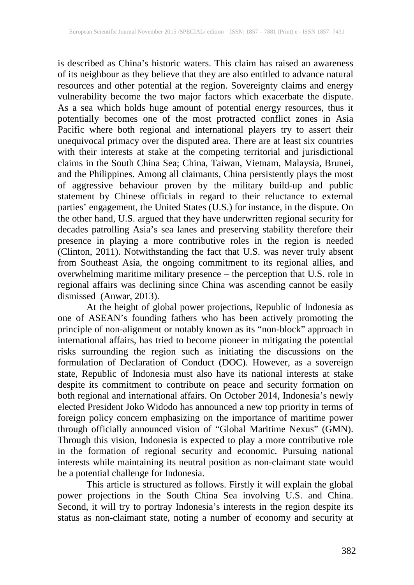is described as China's historic waters. This claim has raised an awareness of its neighbour as they believe that they are also entitled to advance natural resources and other potential at the region. Sovereignty claims and energy vulnerability become the two major factors which exacerbate the dispute. As a sea which holds huge amount of potential energy resources, thus it potentially becomes one of the most protracted conflict zones in Asia Pacific where both regional and international players try to assert their unequivocal primacy over the disputed area. There are at least six countries with their interests at stake at the competing territorial and jurisdictional claims in the South China Sea; China, Taiwan, Vietnam, Malaysia, Brunei, and the Philippines. Among all claimants, China persistently plays the most of aggressive behaviour proven by the military build-up and public statement by Chinese officials in regard to their reluctance to external parties' engagement, the United States (U.S.) for instance, in the dispute. On the other hand, U.S. argued that they have underwritten regional security for decades patrolling Asia's sea lanes and preserving stability therefore their presence in playing a more contributive roles in the region is needed (Clinton, 2011). Notwithstanding the fact that U.S. was never truly absent from Southeast Asia, the ongoing commitment to its regional allies, and overwhelming maritime military presence – the perception that U.S. role in regional affairs was declining since China was ascending cannot be easily dismissed (Anwar, 2013).

At the height of global power projections, Republic of Indonesia as one of ASEAN's founding fathers who has been actively promoting the principle of non-alignment or notably known as its "non-block" approach in international affairs, has tried to become pioneer in mitigating the potential risks surrounding the region such as initiating the discussions on the formulation of Declaration of Conduct (DOC). However, as a sovereign state, Republic of Indonesia must also have its national interests at stake despite its commitment to contribute on peace and security formation on both regional and international affairs. On October 2014, Indonesia's newly elected President Joko Widodo has announced a new top priority in terms of foreign policy concern emphasizing on the importance of maritime power through officially announced vision of "Global Maritime Nexus" (GMN). Through this vision, Indonesia is expected to play a more contributive role in the formation of regional security and economic. Pursuing national interests while maintaining its neutral position as non-claimant state would be a potential challenge for Indonesia.

This article is structured as follows. Firstly it will explain the global power projections in the South China Sea involving U.S. and China. Second, it will try to portray Indonesia's interests in the region despite its status as non-claimant state, noting a number of economy and security at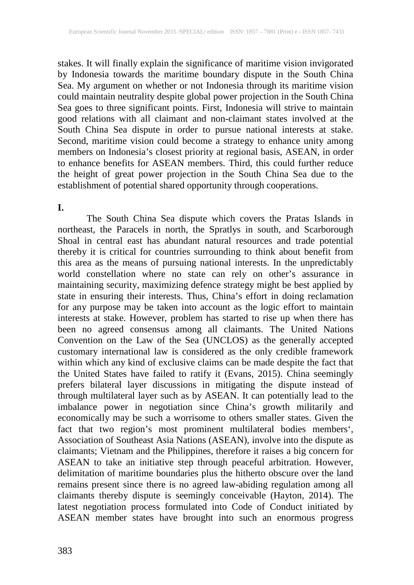stakes. It will finally explain the significance of maritime vision invigorated by Indonesia towards the maritime boundary dispute in the South China Sea. My argument on whether or not Indonesia through its maritime vision could maintain neutrality despite global power projection in the South China Sea goes to three significant points. First, Indonesia will strive to maintain good relations with all claimant and non-claimant states involved at the South China Sea dispute in order to pursue national interests at stake. Second, maritime vision could become a strategy to enhance unity among members on Indonesia's closest priority at regional basis, ASEAN, in order to enhance benefits for ASEAN members. Third, this could further reduce the height of great power projection in the South China Sea due to the establishment of potential shared opportunity through cooperations.

### **I.**

The South China Sea dispute which covers the Pratas Islands in northeast, the Paracels in north, the Spratlys in south, and Scarborough Shoal in central east has abundant natural resources and trade potential thereby it is critical for countries surrounding to think about benefit from this area as the means of pursuing national interests. In the unpredictably world constellation where no state can rely on other's assurance in maintaining security, maximizing defence strategy might be best applied by state in ensuring their interests. Thus, China's effort in doing reclamation for any purpose may be taken into account as the logic effort to maintain interests at stake. However, problem has started to rise up when there has been no agreed consensus among all claimants. The United Nations Convention on the Law of the Sea (UNCLOS) as the generally accepted customary international law is considered as the only credible framework customary international law is considered as the only credible framework within which any kind of exclusive claims can be made despite the fact that the United States have failed to ratify it (Evans, 2015). China seemingly prefers bilateral layer discussions in mitigating the dispute instead of through multilateral layer such as by ASEAN. It can potentially lead to the imbalance power in negotiation since China's growth militarily and economically may be such a worrisome to others smaller states. Given the fact that two region's most prominent multilateral bodies members', Association of Southeast Asia Nations (ASEAN), involve into the dispute as claimants; Vietnam and the Philippines, therefore it raises a big concern for ASEAN to take an initiative step through peaceful arbitration. However, delimitation of maritime boundaries plus the hitherto obscure over the land remains present since there is no agreed law-abiding regulation among all claimants thereby dispute is seemingly conceivable (Hayton, 2014). The latest negotiation process formulated into Code of Conduct initiated by ASEAN member states have brought into such an enormous progress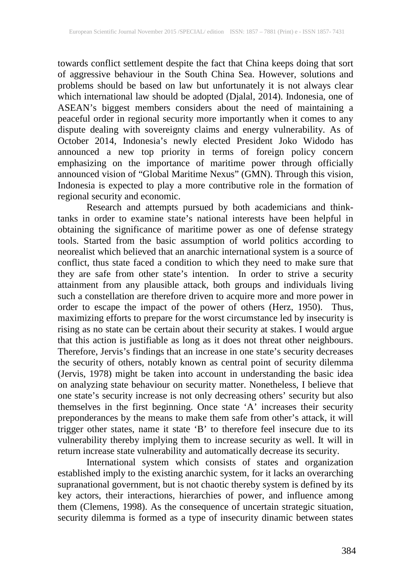towards conflict settlement despite the fact that China keeps doing that sort of aggressive behaviour in the South China Sea. However, solutions and problems should be based on law but unfortunately it is not always clear which international law should be adopted (Djalal, 2014). Indonesia, one of ASEAN's biggest members considers about the need of maintaining a peaceful order in regional security more importantly when it comes to any dispute dealing with sovereignty claims and energy vulnerability. As of October 2014, Indonesia's newly elected President Joko Widodo has announced a new top priority in terms of foreign policy concern emphasizing on the importance of maritime power through officially announced vision of "Global Maritime Nexus" (GMN). Through this vision, Indonesia is expected to play a more contributive role in the formation of regional security and economic.

Research and attempts pursued by both academicians and thinktanks in order to examine state's national interests have been helpful in obtaining the significance of maritime power as one of defense strategy tools. Started from the basic assumption of world politics according to neorealist which believed that an anarchic international system is a source of conflict, thus state faced a condition to which they need to make sure that they are safe from other state's intention. In order to strive a security attainment from any plausible attack, both groups and individuals living such a constellation are therefore driven to acquire more and more power in order to escape the impact of the power of others (Herz, 1950). Thus, maximizing efforts to prepare for the worst circumstance led by insecurity is rising as no state can be certain about their security at stakes. I would argue that this action is justifiable as long as it does not threat other neighbours. Therefore, Jervis's findings that an increase in one state's security decreases the security of others, notably known as central point of security dilemma (Jervis, 1978) might be taken into account in understanding the basic idea on analyzing state behaviour on security matter. Nonetheless, I believe that one state's security increase is not only decreasing others' security but also themselves in the first beginning. Once state 'A' increases their security preponderances by the means to make them safe from other's attack, it will trigger other states, name it state 'B' to therefore feel insecure due to its vulnerability thereby implying them to increase security as well. It will in return increase state vulnerability and automatically decrease its security.

International system which consists of states and organization established imply to the existing anarchic system, for it lacks an overarching supranational government, but is not chaotic thereby system is defined by its key actors, their interactions, hierarchies of power, and influence among them (Clemens, 1998). As the consequence of uncertain strategic situation, security dilemma is formed as a type of insecurity dinamic between states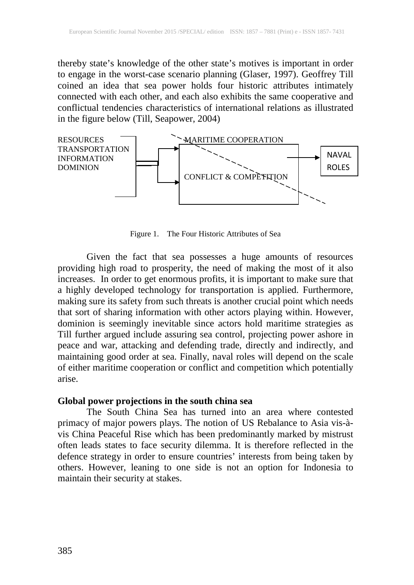thereby state's knowledge of the other state's motives is important in order to engage in the worst-case scenario planning (Glaser, 1997). Geoffrey Till coined an idea that sea power holds four historic attributes intimately connected with each other, and each also exhibits the same cooperative and conflictual tendencies characteristics of international relations as illustrated in the figure below (Till, Seapower, 2004)



Figure 1. The Four Historic Attributes of Sea

Given the fact that sea possesses a huge amounts of resources providing high road to prosperity, the need of making the most of it also increases. In order to get enormous profits, it is important to make sure that a highly developed technology for transportation is applied. Furthermore, making sure its safety from such threats is another crucial point which needs that sort of sharing information with other actors playing within. However, dominion is seemingly inevitable since actors hold maritime strategies as Till further argued include assuring sea control, projecting power ashore in peace and war, attacking and defending trade, directly and indirectly, and maintaining good order at sea. Finally, naval roles will depend on the scale of either maritime cooperation or conflict and competition which potentially arise.

#### **Global power projections in the south china sea**

The South China Sea has turned into an area where contested primacy of major powers plays. The notion of US Rebalance to Asia vis-àvis China Peaceful Rise which has been predominantly marked by mistrust often leads states to face security dilemma. It is therefore reflected in the defence strategy in order to ensure countries' interests from being taken by others. However, leaning to one side is not an option for Indonesia to maintain their security at stakes.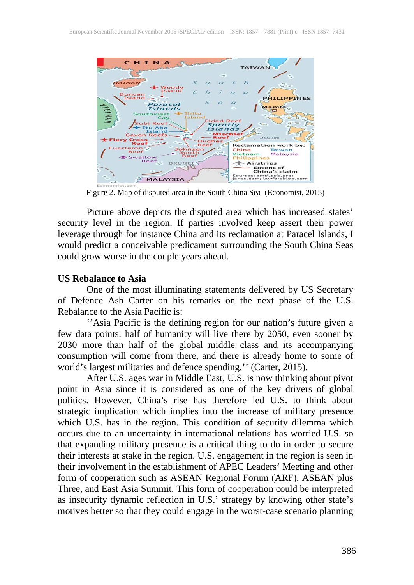

Figure 2. Map of disputed area in the South China Sea (Economist, 2015)

Picture above depicts the disputed area which has increased states' security level in the region. If parties involved keep assert their power leverage through for instance China and its reclamation at Paracel Islands, I would predict a conceivable predicament surrounding the South China Seas could grow worse in the couple years ahead.

#### **US Rebalance to Asia**

One of the most illuminating statements delivered by US Secretary of Defence Ash Carter on his remarks on the next phase of the U.S. Rebalance to the Asia Pacific is:

"Asia Pacific is the defining region for our nation's future given a few data points: half of humanity will live there by 2050, even sooner by 2030 more than half of the global middle class and its accompanying consumption will come from there, and there is already home to some of world's largest militaries and defence spending.'' (Carter, 2015).

After U.S. ages war in Middle East, U.S. is now thinking about pivot point in Asia since it is considered as one of the key drivers of global politics. However, China's rise has therefore led U.S. to think about strategic implication which implies into the increase of military presence which U.S. has in the region. This condition of security dilemma which occurs due to an uncertainty in international relations has worried U.S. so that expanding military presence is a critical thing to do in order to secure their interests at stake in the region. U.S. engagement in the region is seen in their involvement in the establishment of APEC Leaders' Meeting and other form of cooperation such as ASEAN Regional Forum (ARF), ASEAN plus Three, and East Asia Summit. This form of cooperation could be interpreted as insecurity dynamic reflection in U.S.' strategy by knowing other state's motives better so that they could engage in the worst-case scenario planning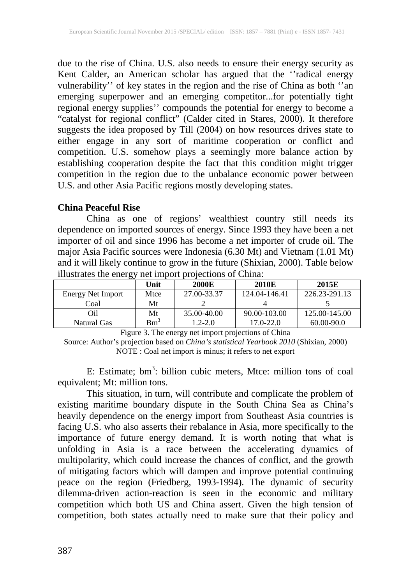due to the rise of China. U.S. also needs to ensure their energy security as Kent Calder, an American scholar has argued that the ''radical energy vulnerability'' of key states in the region and the rise of China as both ''an emerging superpower and an emerging competitor...for potentially tight regional energy supplies'' compounds the potential for energy to become a "catalyst for regional conflict" (Calder cited in Stares, 2000). It therefore suggests the idea proposed by Till (2004) on how resources drives state to either engage in any sort of maritime cooperation or conflict and competition. U.S. somehow plays a seemingly more balance action by establishing cooperation despite the fact that this condition might trigger competition in the region due to the unbalance economic power between U.S. and other Asia Pacific regions mostly developing states.

#### **China Peaceful Rise**

China as one of regions' wealthiest country still needs its dependence on imported sources of energy. Since 1993 they have been a net importer of oil and since 1996 has become a net importer of crude oil. The major Asia Pacific sources were Indonesia (6.30 Mt) and Vietnam (1.01 Mt) and it will likely continue to grow in the future (Shixian, 2000). Table below illustrates the energy net import projections of China:

| ັ                 |        |              |               |               |
|-------------------|--------|--------------|---------------|---------------|
|                   | Unit   | <b>2000E</b> | 2010E         | 2015E         |
| Energy Net Import | Mtce   | 27.00-33.37  | 124.04-146.41 | 226.23-291.13 |
| Coal              | Mt     |              |               |               |
| Oil               | Mt     | 35.00-40.00  | 90.00-103.00  | 125.00-145.00 |
| Natural Gas       | $Bm^3$ | $1.2 - 2.0$  | $17.0 - 22.0$ | 60.00-90.0    |

Figure 3. The energy net import projections of China

Source: Author's projection based on *China's statistical Yearbook 2010* (Shixian, 2000) NOTE : Coal net import is minus; it refers to net export

E: Estimate; bm<sup>3</sup>: billion cubic meters, Mtce: million tons of coal equivalent; Mt: million tons.

This situation, in turn, will contribute and complicate the problem of existing maritime boundary dispute in the South China Sea as China's heavily dependence on the energy import from Southeast Asia countries is facing U.S. who also asserts their rebalance in Asia, more specifically to the importance of future energy demand. It is worth noting that what is unfolding in Asia is a race between the accelerating dynamics of multipolarity, which could increase the chances of conflict, and the growth of mitigating factors which will dampen and improve potential continuing peace on the region (Friedberg, 1993-1994). The dynamic of security dilemma-driven action-reaction is seen in the economic and military competition which both US and China assert. Given the high tension of competition, both states actually need to make sure that their policy and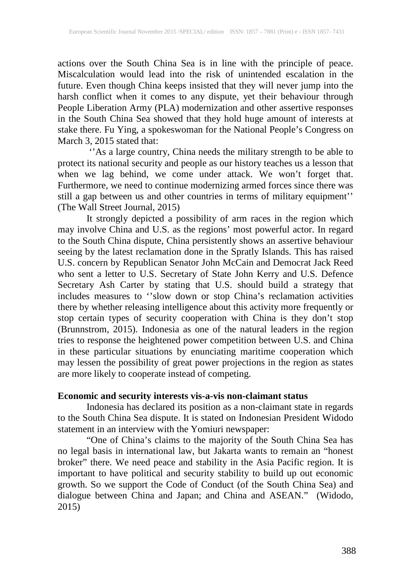actions over the South China Sea is in line with the principle of peace. Miscalculation would lead into the risk of unintended escalation in the future. Even though China keeps insisted that they will never jump into the harsh conflict when it comes to any dispute, yet their behaviour through People Liberation Army (PLA) modernization and other assertive responses in the South China Sea showed that they hold huge amount of interests at stake there. Fu Ying, a spokeswoman for the National People's Congress on March 3, 2015 stated that:

''As a large country, China needs the military strength to be able to protect its national security and people as our history teaches us a lesson that when we lag behind, we come under attack. We won't forget that. Furthermore, we need to continue modernizing armed forces since there was still a gap between us and other countries in terms of military equipment'' (The Wall Street Journal, 2015)

It strongly depicted a possibility of arm races in the region which may involve China and U.S. as the regions' most powerful actor. In regard to the South China dispute, China persistently shows an assertive behaviour seeing by the latest reclamation done in the Spratly Islands. This has raised U.S. concern by Republican Senator John McCain and Democrat Jack Reed who sent a letter to U.S. Secretary of State John Kerry and U.S. Defence Secretary Ash Carter by stating that U.S. should build a strategy that includes measures to ''slow down or stop China's reclamation activities there by whether releasing intelligence about this activity more frequently or stop certain types of security cooperation with China is they don't stop (Brunnstrom, 2015). Indonesia as one of the natural leaders in the region tries to response the heightened power competition between U.S. and China in these particular situations by enunciating maritime cooperation which may lessen the possibility of great power projections in the region as states are more likely to cooperate instead of competing.

## **Economic and security interests vis-a-vis non-claimant status**

Indonesia has declared its position as a non-claimant state in regards to the South China Sea dispute. It is stated on Indonesian President Widodo statement in an interview with the Yomiuri newspaper:

"One of China's claims to the majority of the South China Sea has no legal basis in international law, but Jakarta wants to remain an "honest broker" there. We need peace and stability in the Asia Pacific region. It is important to have political and security stability to build up out economic growth. So we support the Code of Conduct (of the South China Sea) and dialogue between China and Japan; and China and ASEAN." (Widodo, 2015)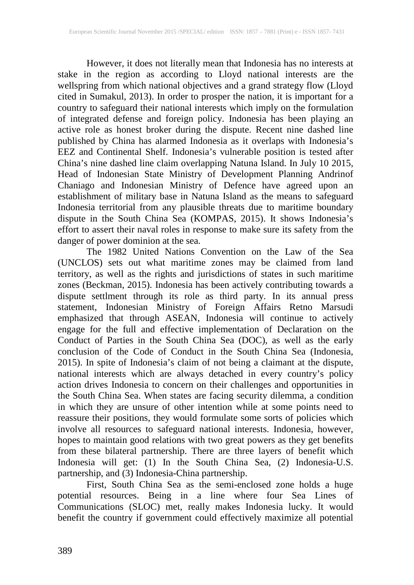However, it does not literally mean that Indonesia has no interests at stake in the region as according to Lloyd national interests are the wellspring from which national objectives and a grand strategy flow (Lloyd cited in Sumakul, 2013). In order to prosper the nation, it is important for a country to safeguard their national interests which imply on the formulation of integrated defense and foreign policy. Indonesia has been playing an active role as honest broker during the dispute. Recent nine dashed line published by China has alarmed Indonesia as it overlaps with Indonesia's EEZ and Continental Shelf. Indonesia's vulnerable position is tested after China's nine dashed line claim overlapping Natuna Island. In July 10 2015, Head of Indonesian State Ministry of Development Planning Andrinof Chaniago and Indonesian Ministry of Defence have agreed upon an establishment of military base in Natuna Island as the means to safeguard Indonesia territorial from any plausible threats due to maritime boundary dispute in the South China Sea (KOMPAS, 2015). It shows Indonesia's effort to assert their naval roles in response to make sure its safety from the danger of power dominion at the sea.

The 1982 United Nations Convention on the Law of the Sea (UNCLOS) sets out what maritime zones may be claimed from land territory, as well as the rights and jurisdictions of states in such maritime zones (Beckman, 2015). Indonesia has been actively contributing towards a dispute settlment through its role as third party. In its annual press statement, Indonesian Ministry of Foreign Affairs Retno Marsudi emphasized that through ASEAN, Indonesia will continue to actively engage for the full and effective implementation of Declaration on the Conduct of Parties in the South China Sea (DOC), as well as the early conclusion of the Code of Conduct in the South China Sea (Indonesia, 2015). In spite of Indonesia's claim of not being a claimant at the dispute, national interests which are always detached in every country's policy action drives Indonesia to concern on their challenges and opportunities in the South China Sea. When states are facing security dilemma, a condition in which they are unsure of other intention while at some points need to reassure their positions, they would formulate some sorts of policies which involve all resources to safeguard national interests. Indonesia, however, hopes to maintain good relations with two great powers as they get benefits from these bilateral partnership. There are three layers of benefit which Indonesia will get: (1) In the South China Sea, (2) Indonesia-U.S. partnership, and (3) Indonesia-China partnership.

First, South China Sea as the semi-enclosed zone holds a huge potential resources. Being in a line where four Sea Lines of Communications (SLOC) met, really makes Indonesia lucky. It would benefit the country if government could effectively maximize all potential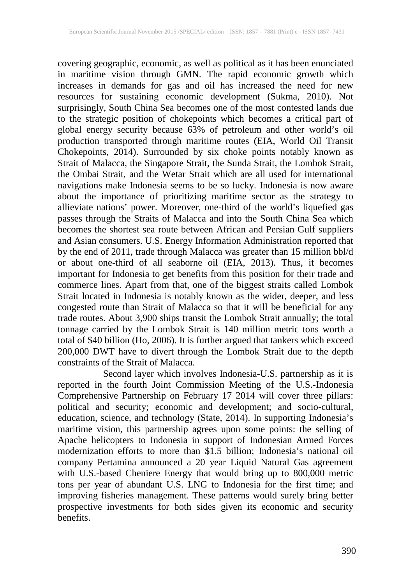covering geographic, economic, as well as political as it has been enunciated in maritime vision through GMN. The rapid economic growth which increases in demands for gas and oil has increased the need for new resources for sustaining economic development (Sukma, 2010). Not surprisingly, South China Sea becomes one of the most contested lands due to the strategic position of chokepoints which becomes a critical part of global energy security because 63% of petroleum and other world's oil production transported through maritime routes (EIA, World Oil Transit Chokepoints, 2014). Surrounded by six choke points notably known as Strait of Malacca, the Singapore Strait, the Sunda Strait, the Lombok Strait, the Ombai Strait, and the Wetar Strait which are all used for international navigations make Indonesia seems to be so lucky. Indonesia is now aware about the importance of prioritizing maritime sector as the strategy to allieviate nations' power. Moreover, one-third of the world's liquefied gas passes through the Straits of Malacca and into the South China Sea which becomes the shortest sea route between African and Persian Gulf suppliers and Asian consumers. U.S. Energy Information Administration reported that by the end of 2011, trade through Malacca was greater than 15 million bbl/d or about one-third of all seaborne oil (EIA, 2013). Thus, it becomes important for Indonesia to get benefits from this position for their trade and commerce lines. Apart from that, one of the biggest straits called Lombok Strait located in Indonesia is notably known as the wider, deeper, and less congested route than Strait of Malacca so that it will be beneficial for any trade routes. About 3,900 ships transit the Lombok Strait annually; the total tonnage carried by the Lombok Strait is 140 million metric tons worth a total of \$40 billion (Ho, 2006). It is further argued that tankers which exceed 200,000 DWT have to divert through the Lombok Strait due to the depth constraints of the Strait of Malacca.

Second layer which involves Indonesia-U.S. partnership as it is reported in the fourth Joint Commission Meeting of the U.S.-Indonesia Comprehensive Partnership on February 17 2014 will cover three pillars: political and security; economic and development; and socio-cultural, education, science, and technology (State, 2014). In supporting Indonesia's maritime vision, this partnership agrees upon some points: the selling of Apache helicopters to Indonesia in support of Indonesian Armed Forces modernization efforts to more than \$1.5 billion; Indonesia's national oil company Pertamina announced a 20 year Liquid Natural Gas agreement with U.S.-based Cheniere Energy that would bring up to 800,000 metric tons per year of abundant U.S. LNG to Indonesia for the first time; and improving fisheries management. These patterns would surely bring better prospective investments for both sides given its economic and security benefits.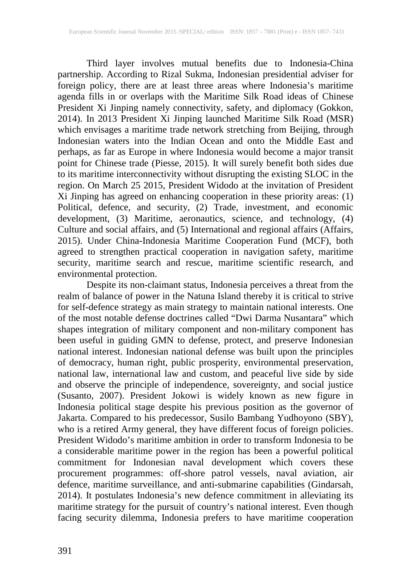Third layer involves mutual benefits due to Indonesia-China partnership. According to Rizal Sukma, Indonesian presidential adviser for foreign policy, there are at least three areas where Indonesia's maritime agenda fills in or overlaps with the Maritime Silk Road ideas of Chinese President Xi Jinping namely connectivity, safety, and diplomacy (Gokkon, 2014). In 2013 President Xi Jinping launched Maritime Silk Road (MSR) which envisages a maritime trade network stretching from Beijing, through Indonesian waters into the Indian Ocean and onto the Middle East and perhaps, as far as Europe in where Indonesia would become a major transit point for Chinese trade (Piesse, 2015). It will surely benefit both sides due to its maritime interconnectivity without disrupting the existing SLOC in the region. On March 25 2015, President Widodo at the invitation of President Xi Jinping has agreed on enhancing cooperation in these priority areas: (1) Political, defence, and security, (2) Trade, investment, and economic development, (3) Maritime, aeronautics, science, and technology, (4) Culture and social affairs, and (5) International and regional affairs (Affairs, 2015). Under China-Indonesia Maritime Cooperation Fund (MCF), both agreed to strengthen practical cooperation in navigation safety, maritime security, maritime search and rescue, maritime scientific research, and environmental protection.

Despite its non-claimant status, Indonesia perceives a threat from the realm of balance of power in the Natuna Island thereby it is critical to strive for self-defence strategy as main strategy to maintain national interests. One of the most notable defense doctrines called "Dwi Darma Nusantara" which shapes integration of military component and non-military component has been useful in guiding GMN to defense, protect, and preserve Indonesian national interest. Indonesian national defense was built upon the principles of democracy, human right, public prosperity, environmental preservation, national law, international law and custom, and peaceful live side by side and observe the principle of independence, sovereignty, and social justice (Susanto, 2007). President Jokowi is widely known as new figure in Indonesia political stage despite his previous position as the governor of Jakarta. Compared to his predecessor, Susilo Bambang Yudhoyono (SBY), who is a retired Army general, they have different focus of foreign policies. President Widodo's maritime ambition in order to transform Indonesia to be a considerable maritime power in the region has been a powerful political commitment for Indonesian naval development which covers these procurement programmes: off-shore patrol vessels, naval aviation, air defence, maritime surveillance, and anti-submarine capabilities (Gindarsah, 2014). It postulates Indonesia's new defence commitment in alleviating its maritime strategy for the pursuit of country's national interest. Even though facing security dilemma, Indonesia prefers to have maritime cooperation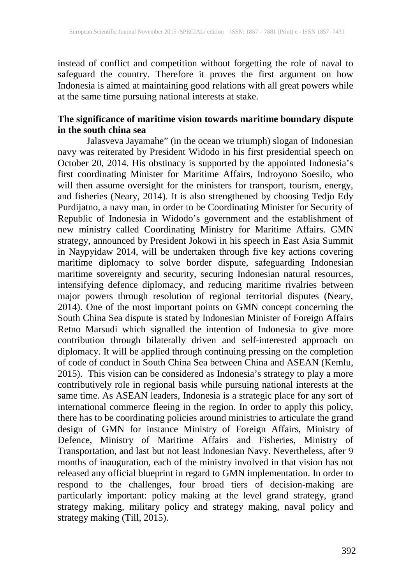instead of conflict and competition without forgetting the role of naval to safeguard the country. Therefore it proves the first argument on how Indonesia is aimed at maintaining good relations with all great powers while at the same time pursuing national interests at stake.

## **The significance of maritime vision towards maritime boundary dispute in the south china sea**

Jalasveva Jayamahe" (in the ocean we triumph) slogan of Indonesian navy was reiterated by President Widodo in his first presidential speech on October 20, 2014. His obstinacy is supported by the appointed Indonesia's first coordinating Minister for Maritime Affairs, Indroyono Soesilo, who will then assume oversight for the ministers for transport, tourism, energy, and fisheries (Neary, 2014). It is also strengthened by choosing Tedjo Edy Purdijatno, a navy man, in order to be Coordinating Minister for Security of Republic of Indonesia in Widodo's government and the establishment of new ministry called Coordinating Ministry for Maritime Affairs. GMN strategy, announced by President Jokowi in his speech in East Asia Summit in Naypyidaw 2014, will be undertaken through five key actions covering maritime diplomacy to solve border dispute, safeguarding Indonesian maritime sovereignty and security, securing Indonesian natural resources, intensifying defence diplomacy, and reducing maritime rivalries between major powers through resolution of regional territorial disputes (Neary, 2014). One of the most important points on GMN concept concerning the South China Sea dispute is stated by Indonesian Minister of Foreign Affairs Retno Marsudi which signalled the intention of Indonesia to give more contribution through bilaterally driven and self-interested approach on diplomacy. It will be applied through continuing pressing on the completion of code of conduct in South China Sea between China and ASEAN (Kemlu, 2015). This vision can be considered as Indonesia's strategy to play a more contributively role in regional basis while pursuing national interests at the same time. As ASEAN leaders, Indonesia is a strategic place for any sort of international commerce fleeing in the region. In order to apply this policy, there has to be coordinating policies around ministries to articulate the grand design of GMN for instance Ministry of Foreign Affairs, Ministry of Defence, Ministry of Maritime Affairs and Fisheries, Ministry of Transportation, and last but not least Indonesian Navy. Nevertheless, after 9 months of inauguration, each of the ministry involved in that vision has not released any official blueprint in regard to GMN implementation. In order to respond to the challenges, four broad tiers of decision-making are particularly important: policy making at the level grand strategy, grand strategy making, military policy and strategy making, naval policy and strategy making (Till, 2015).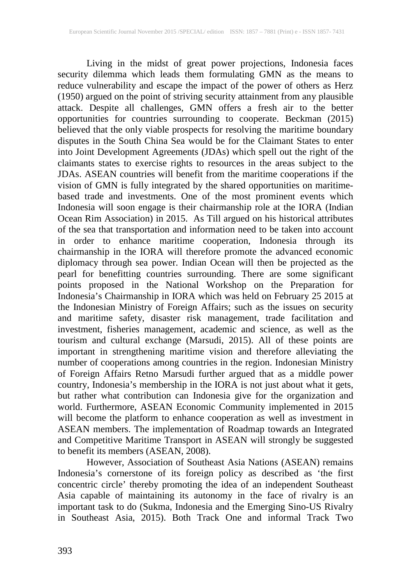Living in the midst of great power projections, Indonesia faces security dilemma which leads them formulating GMN as the means to reduce vulnerability and escape the impact of the power of others as Herz (1950) argued on the point of striving security attainment from any plausible attack. Despite all challenges, GMN offers a fresh air to the better opportunities for countries surrounding to cooperate. Beckman (2015) believed that the only viable prospects for resolving the maritime boundary disputes in the South China Sea would be for the Claimant States to enter into Joint Development Agreements (JDAs) which spell out the right of the claimants states to exercise rights to resources in the areas subject to the JDAs. ASEAN countries will benefit from the maritime cooperations if the vision of GMN is fully integrated by the shared opportunities on maritimebased trade and investments. One of the most prominent events which Indonesia will soon engage is their chairmanship role at the IORA (Indian Ocean Rim Association) in 2015. As Till argued on his historical attributes of the sea that transportation and information need to be taken into account in order to enhance maritime cooperation, Indonesia through its chairmanship in the IORA will therefore promote the advanced economic diplomacy through sea power. Indian Ocean will then be projected as the pearl for benefitting countries surrounding. There are some significant points proposed in the National Workshop on the Preparation for Indonesia's Chairmanship in IORA which was held on February 25 2015 at the Indonesian Ministry of Foreign Affairs; such as the issues on security and maritime safety, disaster risk management, trade facilitation and investment, fisheries management, academic and science, as well as the tourism and cultural exchange (Marsudi, 2015). All of these points are important in strengthening maritime vision and therefore alleviating the number of cooperations among countries in the region. Indonesian Ministry of Foreign Affairs Retno Marsudi further argued that as a middle power country, Indonesia's membership in the IORA is not just about what it gets, but rather what contribution can Indonesia give for the organization and world. Furthermore, ASEAN Economic Community implemented in 2015 will become the platform to enhance cooperation as well as investment in ASEAN members. The implementation of Roadmap towards an Integrated and Competitive Maritime Transport in ASEAN will strongly be suggested to benefit its members (ASEAN, 2008).

However, Association of Southeast Asia Nations (ASEAN) remains Indonesia's cornerstone of its foreign policy as described as 'the first concentric circle' thereby promoting the idea of an independent Southeast Asia capable of maintaining its autonomy in the face of rivalry is an important task to do (Sukma, Indonesia and the Emerging Sino-US Rivalry in Southeast Asia, 2015). Both Track One and informal Track Two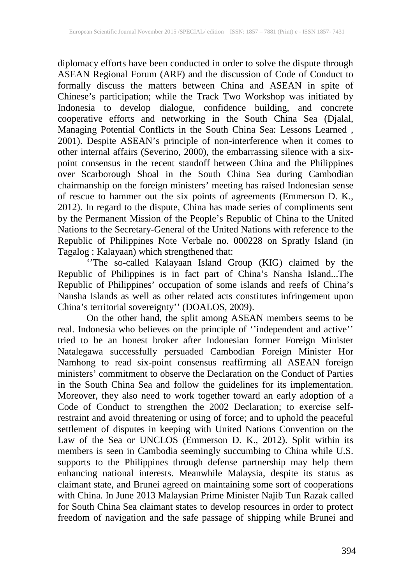diplomacy efforts have been conducted in order to solve the dispute through ASEAN Regional Forum (ARF) and the discussion of Code of Conduct to formally discuss the matters between China and ASEAN in spite of Chinese's participation; while the Track Two Workshop was initiated by Indonesia to develop dialogue, confidence building, and concrete cooperative efforts and networking in the South China Sea (Djalal, Managing Potential Conflicts in the South China Sea: Lessons Learned , 2001). Despite ASEAN's principle of non-interference when it comes to other internal affairs (Severino, 2000), the embarrassing silence with a sixpoint consensus in the recent standoff between China and the Philippines over Scarborough Shoal in the South China Sea during Cambodian chairmanship on the foreign ministers' meeting has raised Indonesian sense of rescue to hammer out the six points of agreements (Emmerson D. K., 2012). In regard to the dispute, China has made series of compliments sent by the Permanent Mission of the People's Republic of China to the United Nations to the Secretary-General of the United Nations with reference to the Republic of Philippines Note Verbale no. 000228 on Spratly Island (in Tagalog : Kalayaan) which strengthened that:

''The so-called Kalayaan Island Group (KIG) claimed by the Republic of Philippines is in fact part of China's Nansha Island...The Republic of Philippines' occupation of some islands and reefs of China's Nansha Islands as well as other related acts constitutes infringement upon China's territorial sovereignty'' (DOALOS, 2009).

On the other hand, the split among ASEAN members seems to be real. Indonesia who believes on the principle of ''independent and active'' tried to be an honest broker after Indonesian former Foreign Minister Natalegawa successfully persuaded Cambodian Foreign Minister Hor Namhong to read six-point consensus reaffirming all ASEAN foreign ministers' commitment to observe the Declaration on the Conduct of Parties in the South China Sea and follow the guidelines for its implementation. Moreover, they also need to work together toward an early adoption of a Code of Conduct to strengthen the 2002 Declaration; to exercise selfrestraint and avoid threatening or using of force; and to uphold the peaceful settlement of disputes in keeping with United Nations Convention on the Law of the Sea or UNCLOS (Emmerson D. K., 2012). Split within its members is seen in Cambodia seemingly succumbing to China while U.S. supports to the Philippines through defense partnership may help them enhancing national interests. Meanwhile Malaysia, despite its status as claimant state, and Brunei agreed on maintaining some sort of cooperations with China. In June 2013 Malaysian Prime Minister Najib Tun Razak called for South China Sea claimant states to develop resources in order to protect freedom of navigation and the safe passage of shipping while Brunei and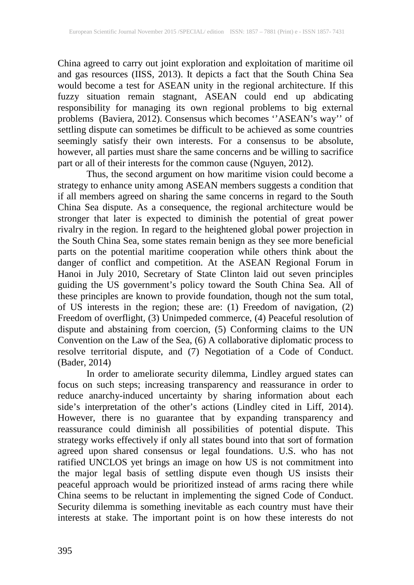China agreed to carry out joint exploration and exploitation of maritime oil and gas resources (IISS, 2013). It depicts a fact that the South China Sea would become a test for ASEAN unity in the regional architecture. If this fuzzy situation remain stagnant, ASEAN could end up abdicating responsibility for managing its own regional problems to big external problems (Baviera, 2012). Consensus which becomes ''ASEAN's way'' of settling dispute can sometimes be difficult to be achieved as some countries seemingly satisfy their own interests. For a consensus to be absolute, however, all parties must share the same concerns and be willing to sacrifice part or all of their interests for the common cause (Nguyen, 2012).

Thus, the second argument on how maritime vision could become a strategy to enhance unity among ASEAN members suggests a condition that if all members agreed on sharing the same concerns in regard to the South China Sea dispute. As a consequence, the regional architecture would be stronger that later is expected to diminish the potential of great power rivalry in the region. In regard to the heightened global power projection in the South China Sea, some states remain benign as they see more beneficial parts on the potential maritime cooperation while others think about the danger of conflict and competition. At the ASEAN Regional Forum in Hanoi in July 2010, Secretary of State Clinton laid out seven principles guiding the US government's policy toward the South China Sea. All of these principles are known to provide foundation, though not the sum total, of US interests in the region; these are: (1) Freedom of navigation, (2) Freedom of overflight, (3) Unimpeded commerce, (4) Peaceful resolution of dispute and abstaining from coercion, (5) Conforming claims to the UN Convention on the Law of the Sea, (6) A collaborative diplomatic process to resolve territorial dispute, and (7) Negotiation of a Code of Conduct. (Bader, 2014)

In order to ameliorate security dilemma, Lindley argued states can focus on such steps; increasing transparency and reassurance in order to reduce anarchy-induced uncertainty by sharing information about each side's interpretation of the other's actions (Lindley cited in Liff, 2014). However, there is no guarantee that by expanding transparency and reassurance could diminish all possibilities of potential dispute. This strategy works effectively if only all states bound into that sort of formation agreed upon shared consensus or legal foundations. U.S. who has not ratified UNCLOS yet brings an image on how US is not commitment into the major legal basis of settling dispute even though US insists their peaceful approach would be prioritized instead of arms racing there while China seems to be reluctant in implementing the signed Code of Conduct. Security dilemma is something inevitable as each country must have their interests at stake. The important point is on how these interests do not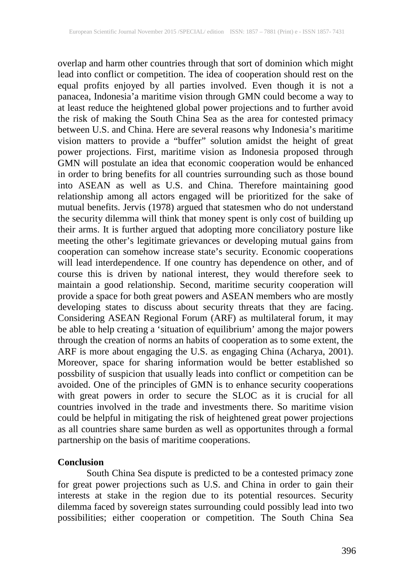overlap and harm other countries through that sort of dominion which might lead into conflict or competition. The idea of cooperation should rest on the equal profits enjoyed by all parties involved. Even though it is not a panacea, Indonesia'a maritime vision through GMN could become a way to at least reduce the heightened global power projections and to further avoid the risk of making the South China Sea as the area for contested primacy between U.S. and China. Here are several reasons why Indonesia's maritime vision matters to provide a "buffer" solution amidst the height of great power projections. First, maritime vision as Indonesia proposed through GMN will postulate an idea that economic cooperation would be enhanced in order to bring benefits for all countries surrounding such as those bound into ASEAN as well as U.S. and China. Therefore maintaining good relationship among all actors engaged will be prioritized for the sake of mutual benefits. Jervis (1978) argued that statesmen who do not understand the security dilemma will think that money spent is only cost of building up their arms. It is further argued that adopting more conciliatory posture like meeting the other's legitimate grievances or developing mutual gains from cooperation can somehow increase state's security. Economic cooperations will lead interdependence. If one country has dependence on other, and of course this is driven by national interest, they would therefore seek to maintain a good relationship. Second, maritime security cooperation will provide a space for both great powers and ASEAN members who are mostly developing states to discuss about security threats that they are facing. Considering ASEAN Regional Forum (ARF) as multilateral forum, it may be able to help creating a 'situation of equilibrium' among the major powers through the creation of norms an habits of cooperation as to some extent, the ARF is more about engaging the U.S. as engaging China (Acharya, 2001). Moreover, space for sharing information would be better established so possbility of suspicion that usually leads into conflict or competition can be avoided. One of the principles of GMN is to enhance security cooperations with great powers in order to secure the SLOC as it is crucial for all countries involved in the trade and investments there. So maritime vision could be helpful in mitigating the risk of heightened great power projections as all countries share same burden as well as opportunites through a formal partnership on the basis of maritime cooperations.

#### **Conclusion**

South China Sea dispute is predicted to be a contested primacy zone for great power projections such as U.S. and China in order to gain their interests at stake in the region due to its potential resources. Security dilemma faced by sovereign states surrounding could possibly lead into two possibilities; either cooperation or competition. The South China Sea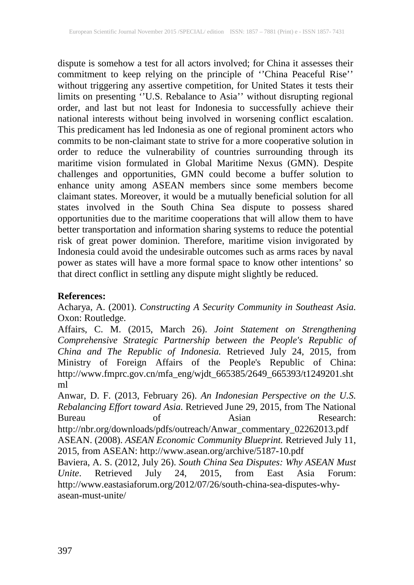dispute is somehow a test for all actors involved; for China it assesses their commitment to keep relying on the principle of ''China Peaceful Rise'' without triggering any assertive competition, for United States it tests their limits on presenting ''U.S. Rebalance to Asia'' without disrupting regional order, and last but not least for Indonesia to successfully achieve their national interests without being involved in worsening conflict escalation. This predicament has led Indonesia as one of regional prominent actors who commits to be non-claimant state to strive for a more cooperative solution in order to reduce the vulnerability of countries surrounding through its maritime vision formulated in Global Maritime Nexus (GMN). Despite challenges and opportunities, GMN could become a buffer solution to enhance unity among ASEAN members since some members become claimant states. Moreover, it would be a mutually beneficial solution for all states involved in the South China Sea dispute to possess shared opportunities due to the maritime cooperations that will allow them to have better transportation and information sharing systems to reduce the potential risk of great power dominion. Therefore, maritime vision invigorated by Indonesia could avoid the undesirable outcomes such as arms races by naval power as states will have a more formal space to know other intentions' so that direct conflict in settling any dispute might slightly be reduced.

## **References:**

Acharya, A. (2001). *Constructing A Security Community in Southeast Asia.* Oxon: Routledge.

Affairs, C. M. (2015, March 26). *Joint Statement on Strengthening Comprehensive Strategic Partnership between the People's Republic of China and The Republic of Indonesia.* Retrieved July 24, 2015, from Ministry of Foreign Affairs of the People's Republic of China: http://www.fmprc.gov.cn/mfa\_eng/wjdt\_665385/2649\_665393/t1249201.sht ml

Anwar, D. F. (2013, February 26). *An Indonesian Perspective on the U.S. Rebalancing Effort toward Asia.* Retrieved June 29, 2015, from The National Bureau of Asian Research: http://nbr.org/downloads/pdfs/outreach/Anwar\_commentary\_02262013.pdf ASEAN. (2008). *ASEAN Economic Community Blueprint.* Retrieved July 11, 2015, from ASEAN: http://www.asean.org/archive/5187-10.pdf

Baviera, A. S. (2012, July 26). *South China Sea Disputes: Why ASEAN Must Unite*. Retrieved July 24, 2015, from East Asia Forum: http://www.eastasiaforum.org/2012/07/26/south-china-sea-disputes-whyasean-must-unite/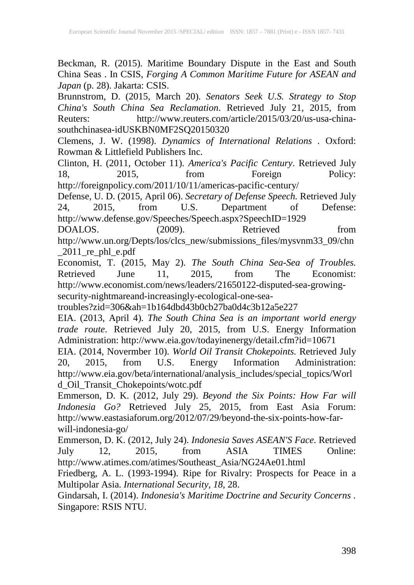Beckman, R. (2015). Maritime Boundary Dispute in the East and South China Seas . In CSIS, *Forging A Common Maritime Future for ASEAN and Japan* (p. 28). Jakarta: CSIS.

Brunnstrom, D. (2015, March 20). *Senators Seek U.S. Strategy to Stop China's South China Sea Reclamation*. Retrieved July 21, 2015, from Reuters: http://www.reuters.com/article/2015/03/20/us-usa-chinasouthchinasea-idUSKBN0MF2SQ20150320

Clemens, J. W. (1998). *Dynamics of International Relations .* Oxford: Rowman & Littlefield Publishers Inc.

Clinton, H. (2011, October 11). *America's Pacific Century*. Retrieved July 18, 2015, from Foreign Policy: 18, 2015, from Foreign Policy: http://foreignpolicy.com/2011/10/11/americas-pacific-century/

Defense, U. D. (2015, April 06). *Secretary of Defense Speech.* Retrieved July 24, 2015, from U.S. Department of Defense: http://www.defense.gov/Speeches/Speech.aspx?SpeechID=1929<br>DOALOS. (2009). Retrieved

DOALOS. (2009). Retrieved from http://www.un.org/Depts/los/clcs\_new/submissions\_files/mysvnm33\_09/chn  $2011$ \_re\_phl\_e.pdf

Economist, T. (2015, May 2). *The South China Sea-Sea of Troubles.* Retrieved June 11, 2015, from The Economist: http://www.economist.com/news/leaders/21650122-disputed-sea-growingsecurity-nightmareand-increasingly-ecological-one-sea-

troubles?zid=306&ah=1b164dbd43b0cb27ba0d4c3b12a5e227

EIA. (2013, April 4). *The South China Sea is an important world energy trade route*. Retrieved July 20, 2015, from U.S. Energy Information Administration: http://www.eia.gov/todayinenergy/detail.cfm?id=10671

EIA. (2014, Novermber 10). *World Oil Transit Chokepoints.* Retrieved July 20, 2015, from U.S. Energy Information Administration: http://www.eia.gov/beta/international/analysis\_includes/special\_topics/Worl d\_Oil\_Transit\_Chokepoints/wotc.pdf

Emmerson, D. K. (2012, July 29). *Beyond the Six Points: How Far will Indonesia Go?* Retrieved July 25, 2015, from East Asia Forum: http://www.eastasiaforum.org/2012/07/29/beyond-the-six-points-how-farwill-indonesia-go/

Emmerson, D. K. (2012, July 24). *Indonesia Saves ASEAN'S Face*. Retrieved July 12, 2015, from ASIA TIMES Online: http://www.atimes.com/atimes/Southeast\_Asia/NG24Ae01.html

Friedberg, A. L. (1993-1994). Ripe for Rivalry: Prospects for Peace in a Multipolar Asia. *International Security, 18*, 28.

Gindarsah, I. (2014). *Indonesia's Maritime Doctrine and Security Concerns .* Singapore: RSIS NTU.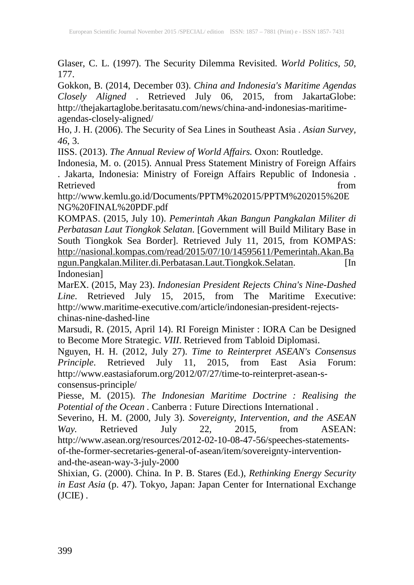Glaser, C. L. (1997). The Security Dilemma Revisited. *World Politics, 50*, 177.

Gokkon, B. (2014, December 03). *China and Indonesia's Maritime Agendas Closely Aligned* . Retrieved July 06, 2015, from JakartaGlobe: http://thejakartaglobe.beritasatu.com/news/china-and-indonesias-maritimeagendas-closely-aligned/

Ho, J. H. (2006). The Security of Sea Lines in Southeast Asia . *Asian Survey, 46*, 3.

IISS. (2013). *The Annual Review of World Affairs.* Oxon: Routledge.

Indonesia, M. o. (2015). Annual Press Statement Ministry of Foreign Affairs . Jakarta, Indonesia: Ministry of Foreign Affairs Republic of Indonesia . Retrieved from the set of the set of the set of the set of the set of the set of the set of the set of the set of the set of the set of the set of the set of the set of the set of the set of the set of the set of the set o

http://www.kemlu.go.id/Documents/PPTM%202015/PPTM%202015%20E NG%20FINAL%20PDF.pdf

KOMPAS. (2015, July 10). *Pemerintah Akan Bangun Pangkalan Militer di Perbatasan Laut Tiongkok Selatan*. [Government will Build Military Base in South Tiongkok Sea Border]. Retrieved July 11, 2015, from KOMPAS: [http://nasional.kompas.com/read/2015/07/10/14595611/Pemerintah.Akan.Ba](http://nasional.kompas.com/read/2015/07/10/14595611/Pemerintah.Akan.Bangun.Pangkalan.Militer.di.Perbatasan.Laut.Tiongkok.Selatan) [ngun.Pangkalan.Militer.di.Perbatasan.Laut.Tiongkok.Selatan.](http://nasional.kompas.com/read/2015/07/10/14595611/Pemerintah.Akan.Bangun.Pangkalan.Militer.di.Perbatasan.Laut.Tiongkok.Selatan) [In Indonesian]

MarEX. (2015, May 23). *Indonesian President Rejects China's Nine-Dashed Line*. Retrieved July 15, 2015, from The Maritime Executive: http://www.maritime-executive.com/article/indonesian-president-rejectschinas-nine-dashed-line

Marsudi, R. (2015, April 14). RI Foreign Minister : IORA Can be Designed to Become More Strategic. *VIII*. Retrieved from Tabloid Diplomasi.

Nguyen, H. H. (2012, July 27). *Time to Reinterpret ASEAN's Consensus Principle*. Retrieved July 11, 2015, from East Asia Forum: http://www.eastasiaforum.org/2012/07/27/time-to-reinterpret-asean-sconsensus-principle/

Piesse, M. (2015). *The Indonesian Maritime Doctrine : Realising the Potential of the Ocean .* Canberra : Future Directions International .

Severino, H. M. (2000, July 3). *Sovereignty, Intervention, and the ASEAN Way.* Retrieved July 22, 2015, from ASEAN: *Way.* Retrieved July 22, 2015, from ASEAN: http://www.asean.org/resources/2012-02-10-08-47-56/speeches-statementsof-the-former-secretaries-general-of-asean/item/sovereignty-interventionand-the-asean-way-3-july-2000

Shixian, G. (2000). China. In P. B. Stares (Ed.), *Rethinking Energy Security in East Asia* (p. 47). Tokyo, Japan: Japan Center for International Exchange (JCIE) .